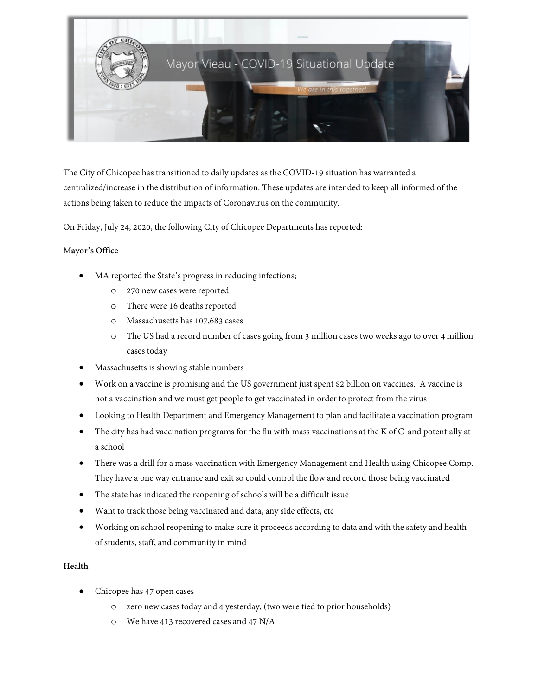

The City of Chicopee has transitioned to daily updates as the COVID-19 situation has warranted a centralized/increase in the distribution of information. These updates are intended to keep all informed of the actions being taken to reduce the impacts of Coronavirus on the community.

On Friday, July 24, 2020, the following City of Chicopee Departments has reported:

### M**ayor's Office**

- MA reported the State's progress in reducing infections;
	- o 270 new cases were reported
	- o There were 16 deaths reported
	- o Massachusetts has 107,683 cases
	- o The US had a record number of cases going from 3 million cases two weeks ago to over 4 million cases today
- Massachusetts is showing stable numbers
- Work on a vaccine is promising and the US government just spent \$2 billion on vaccines. A vaccine is not a vaccination and we must get people to get vaccinated in order to protect from the virus
- Looking to Health Department and Emergency Management to plan and facilitate a vaccination program
- The city has had vaccination programs for the flu with mass vaccinations at the K of C and potentially at a school
- There was a drill for a mass vaccination with Emergency Management and Health using Chicopee Comp. They have a one way entrance and exit so could control the flow and record those being vaccinated
- The state has indicated the reopening of schools will be a difficult issue
- Want to track those being vaccinated and data, any side effects, etc
- Working on school reopening to make sure it proceeds according to data and with the safety and health of students, staff, and community in mind

# **Health**

- Chicopee has 47 open cases
	- o zero new cases today and 4 yesterday, (two were tied to prior households)
	- o We have 413 recovered cases and 47 N/A